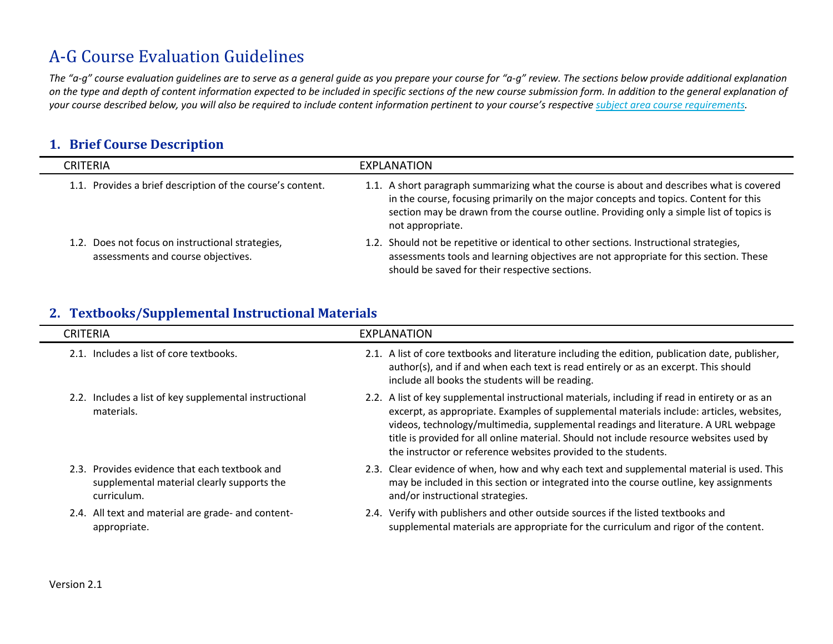# A-G Course Evaluation Guidelines

*The "a-g" course evaluation guidelines are to serve as a general guide as you prepare your course for "a-g" review. The sections below provide additional explanation on the type and depth of content information expected to be included in specific sections of the new course submission form. In addition to the general explanation of your course described below, you will also be required to include content information pertinent to your course's respectiv[e subject area course requirements.](http://www.ucop.edu/agguide/a-g-requirements/index.html)* 

# **1. Brief Course Description**

| <b>CRITERIA</b>                                                                        | EXPLANATION                                                                                                                                                                                                                                                                                      |
|----------------------------------------------------------------------------------------|--------------------------------------------------------------------------------------------------------------------------------------------------------------------------------------------------------------------------------------------------------------------------------------------------|
| 1.1. Provides a brief description of the course's content.                             | 1.1. A short paragraph summarizing what the course is about and describes what is covered<br>in the course, focusing primarily on the major concepts and topics. Content for this<br>section may be drawn from the course outline. Providing only a simple list of topics is<br>not appropriate. |
| 1.2. Does not focus on instructional strategies,<br>assessments and course objectives. | 1.2. Should not be repetitive or identical to other sections. Instructional strategies,<br>assessments tools and learning objectives are not appropriate for this section. These<br>should be saved for their respective sections.                                                               |

## **2. Textbooks/Supplemental Instructional Materials**

| <b>CRITERIA</b>                                                                                            | EXPLANATION                                                                                                                                                                                                                                                                                                                                                                                                                                    |
|------------------------------------------------------------------------------------------------------------|------------------------------------------------------------------------------------------------------------------------------------------------------------------------------------------------------------------------------------------------------------------------------------------------------------------------------------------------------------------------------------------------------------------------------------------------|
| 2.1. Includes a list of core textbooks.                                                                    | 2.1. A list of core textbooks and literature including the edition, publication date, publisher,<br>author(s), and if and when each text is read entirely or as an excerpt. This should<br>include all books the students will be reading.                                                                                                                                                                                                     |
| 2.2. Includes a list of key supplemental instructional<br>materials.                                       | 2.2. A list of key supplemental instructional materials, including if read in entirety or as an<br>excerpt, as appropriate. Examples of supplemental materials include: articles, websites,<br>videos, technology/multimedia, supplemental readings and literature. A URL webpage<br>title is provided for all online material. Should not include resource websites used by<br>the instructor or reference websites provided to the students. |
| 2.3. Provides evidence that each textbook and<br>supplemental material clearly supports the<br>curriculum. | 2.3. Clear evidence of when, how and why each text and supplemental material is used. This<br>may be included in this section or integrated into the course outline, key assignments<br>and/or instructional strategies.                                                                                                                                                                                                                       |
| 2.4. All text and material are grade- and content-<br>appropriate.                                         | 2.4. Verify with publishers and other outside sources if the listed textbooks and<br>supplemental materials are appropriate for the curriculum and rigor of the content.                                                                                                                                                                                                                                                                       |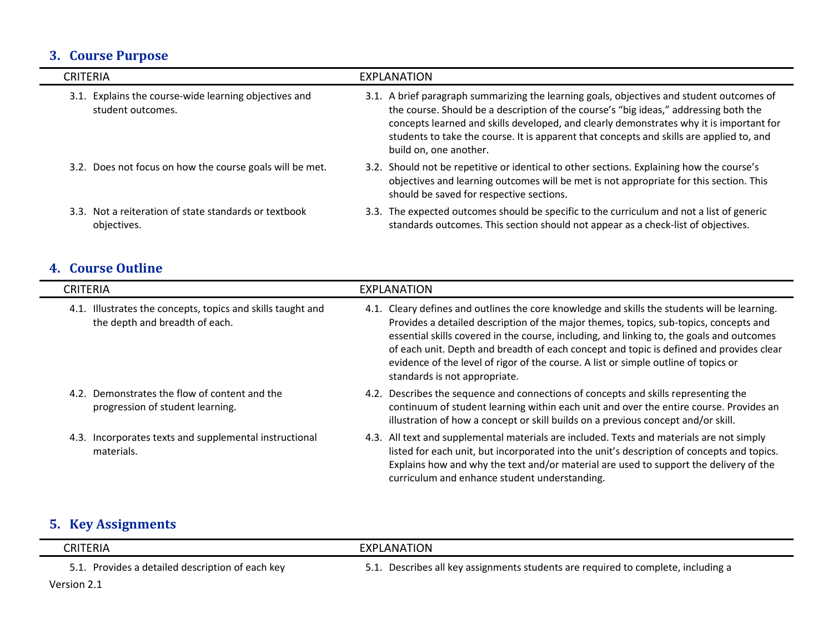# **3. Course Purpose**

| <b>CRITERIA</b>                                                            | EXPLANATION                                                                                                                                                                                                                                                                                                                                                                                        |
|----------------------------------------------------------------------------|----------------------------------------------------------------------------------------------------------------------------------------------------------------------------------------------------------------------------------------------------------------------------------------------------------------------------------------------------------------------------------------------------|
| 3.1. Explains the course-wide learning objectives and<br>student outcomes. | 3.1. A brief paragraph summarizing the learning goals, objectives and student outcomes of<br>the course. Should be a description of the course's "big ideas," addressing both the<br>concepts learned and skills developed, and clearly demonstrates why it is important for<br>students to take the course. It is apparent that concepts and skills are applied to, and<br>build on, one another. |
| 3.2. Does not focus on how the course goals will be met.                   | 3.2. Should not be repetitive or identical to other sections. Explaining how the course's<br>objectives and learning outcomes will be met is not appropriate for this section. This<br>should be saved for respective sections.                                                                                                                                                                    |
| 3.3. Not a reiteration of state standards or textbook<br>objectives.       | 3.3. The expected outcomes should be specific to the curriculum and not a list of generic<br>standards outcomes. This section should not appear as a check-list of objectives.                                                                                                                                                                                                                     |

# **4. Course Outline**

÷

| <b>CRITERIA</b>                                                                                  | EXPLANATION                                                                                                                                                                                                                                                                                                                                                                                                                                                                                               |
|--------------------------------------------------------------------------------------------------|-----------------------------------------------------------------------------------------------------------------------------------------------------------------------------------------------------------------------------------------------------------------------------------------------------------------------------------------------------------------------------------------------------------------------------------------------------------------------------------------------------------|
| Illustrates the concepts, topics and skills taught and<br>4.1.<br>the depth and breadth of each. | Cleary defines and outlines the core knowledge and skills the students will be learning.<br>4.1.<br>Provides a detailed description of the major themes, topics, sub-topics, concepts and<br>essential skills covered in the course, including, and linking to, the goals and outcomes<br>of each unit. Depth and breadth of each concept and topic is defined and provides clear<br>evidence of the level of rigor of the course. A list or simple outline of topics or<br>standards is not appropriate. |
| Demonstrates the flow of content and the<br>4.2.<br>progression of student learning.             | 4.2. Describes the sequence and connections of concepts and skills representing the<br>continuum of student learning within each unit and over the entire course. Provides an<br>illustration of how a concept or skill builds on a previous concept and/or skill.                                                                                                                                                                                                                                        |
| Incorporates texts and supplemental instructional<br>4.3.<br>materials.                          | All text and supplemental materials are included. Texts and materials are not simply<br>4.3.<br>listed for each unit, but incorporated into the unit's description of concepts and topics.<br>Explains how and why the text and/or material are used to support the delivery of the<br>curriculum and enhance student understanding.                                                                                                                                                                      |
| <b>Key Assignments</b>                                                                           |                                                                                                                                                                                                                                                                                                                                                                                                                                                                                                           |

| CRITERIA                                         | EXPLANATION                                                                       |
|--------------------------------------------------|-----------------------------------------------------------------------------------|
| 5.1. Provides a detailed description of each key | 5.1. Describes all key assignments students are required to complete, including a |
| Version 2.1                                      |                                                                                   |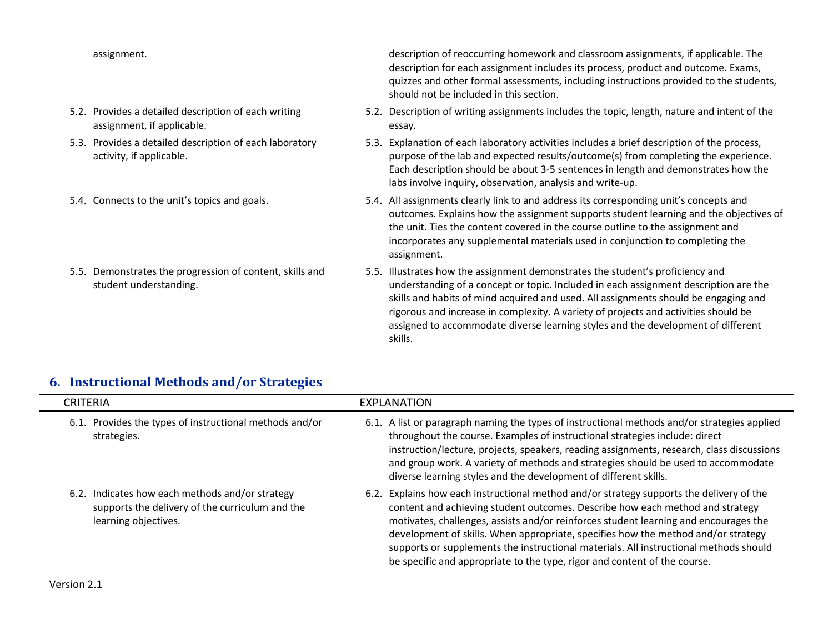- 5.2. Provides a detailed description of each writing assignment, if applicable.
- 5.3. Provides a detailed description of each laboratory activity, if applicable.
- 
- 5.5. Demonstrates the progression of content, skills and student understanding.

assignment. description of reoccurring homework and classroom assignments, if applicable. The description for each assignment includes its process, product and outcome. Exams, quizzes and other formal assessments, including instructions provided to the students, should not be included in this section.

- 5.2. Description of writing assignments includes the topic, length, nature and intent of the essay.
- 5.3. Explanation of each laboratory activities includes a brief description of the process, purpose of the lab and expected results/outcome(s) from completing the experience. Each description should be about 3-5 sentences in length and demonstrates how the labs involve inquiry, observation, analysis and write-up.
- 5.4. Connects to the unit's topics and goals. 5.4. All assignments clearly link to and address its corresponding unit's concepts and outcomes. Explains how the assignment supports student learning and the objectives of the unit. Ties the content covered in the course outline to the assignment and incorporates any supplemental materials used in conjunction to completing the assignment.
	- 5.5. Illustrates how the assignment demonstrates the student's proficiency and understanding of a concept or topic. Included in each assignment description are the skills and habits of mind acquired and used. All assignments should be engaging and rigorous and increase in complexity. A variety of projects and activities should be assigned to accommodate diverse learning styles and the development of different skills.

#### **6. Instructional Methods and/or Strategies**

| CRITERIA                                                                                                                   | EXPLANATION                                                                                                                                                                                                                                                                                                                                                                                                                                                                                                                  |
|----------------------------------------------------------------------------------------------------------------------------|------------------------------------------------------------------------------------------------------------------------------------------------------------------------------------------------------------------------------------------------------------------------------------------------------------------------------------------------------------------------------------------------------------------------------------------------------------------------------------------------------------------------------|
| 6.1. Provides the types of instructional methods and/or<br>strategies.                                                     | 6.1. A list or paragraph naming the types of instructional methods and/or strategies applied<br>throughout the course. Examples of instructional strategies include: direct<br>instruction/lecture, projects, speakers, reading assignments, research, class discussions<br>and group work. A variety of methods and strategies should be used to accommodate<br>diverse learning styles and the development of different skills.                                                                                            |
| 6.2. Indicates how each methods and/or strategy<br>supports the delivery of the curriculum and the<br>learning objectives. | 6.2. Explains how each instructional method and/or strategy supports the delivery of the<br>content and achieving student outcomes. Describe how each method and strategy<br>motivates, challenges, assists and/or reinforces student learning and encourages the<br>development of skills. When appropriate, specifies how the method and/or strategy<br>supports or supplements the instructional materials. All instructional methods should<br>be specific and appropriate to the type, rigor and content of the course. |